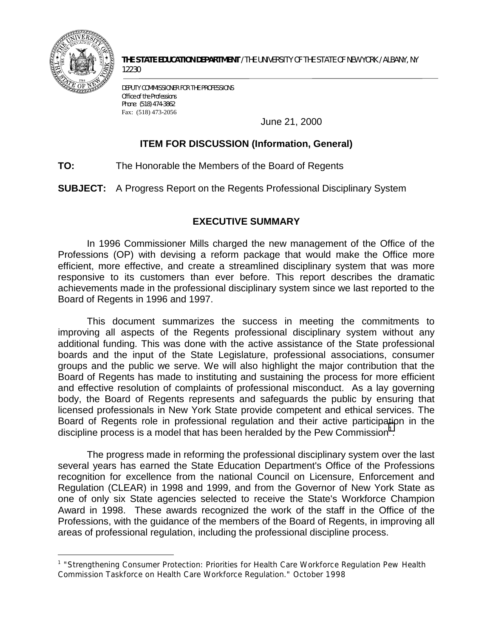

1

**THE STATE EDUCATION DEPARTMENT** / THE UNIVERSITY OF THE STATE OF NEW YORK / ALBANY, NY 12230

DEPUTY COMMISSIONER FOR THE PROFESSIONS Office of the Professions Phone: (518) 474-3862 Fax: (518) 473-2056

June 21, 2000

# **ITEM FOR DISCUSSION (Information, General)**

**TO:** The Honorable the Members of the Board of Regents

**SUBJECT:** A Progress Report on the Regents Professional Disciplinary System

# **EXECUTIVE SUMMARY**

 In 1996 Commissioner Mills charged the new management of the Office of the Professions (OP) with devising a reform package that would make the Office more efficient, more effective, and create a streamlined disciplinary system that was more responsive to its customers than ever before. This report describes the dramatic achievements made in the professional disciplinary system since we last reported to the Board of Regents in 1996 and 1997.

 additional funding. This was done with the active assistance of the State professional body, the Board of Regents represents and safeguards the public by ensuring that licensed professionals in New York State provide competent and ethical services. The This document summarizes the success in meeting the commitments to improving all aspects of the Regents professional disciplinary system without any boards and the input of the State Legislature, professional associations, consumer groups and the public we serve. We will also highlight the major contribution that the Board of Regents has made to instituting and sustaining the process for more efficient and effective resolution of complaints of professional misconduct. As a lay governing Board of Regents role in professional regulation and their active participation in the discipline process is a model that has been heralded by the Pew Commission<sup>1</sup>.

 recognition for excellence from the national Council on Licensure, Enforcement and Regulation (CLEAR) in 1998 and 1999, and from the Governor of New York State as The progress made in reforming the professional disciplinary system over the last several years has earned the State Education Department's Office of the Professions one of only six State agencies selected to receive the State's Workforce Champion Award in 1998. These awards recognized the work of the staff in the Office of the Professions, with the guidance of the members of the Board of Regents, in improving all areas of professional regulation, including the professional discipline process.

<sup>&</sup>lt;sup>1</sup> "Strengthening Consumer Protection: Priorities for Health Care Workforce Regulation Pew Health Commission Taskforce on Health Care Workforce Regulation." October 1998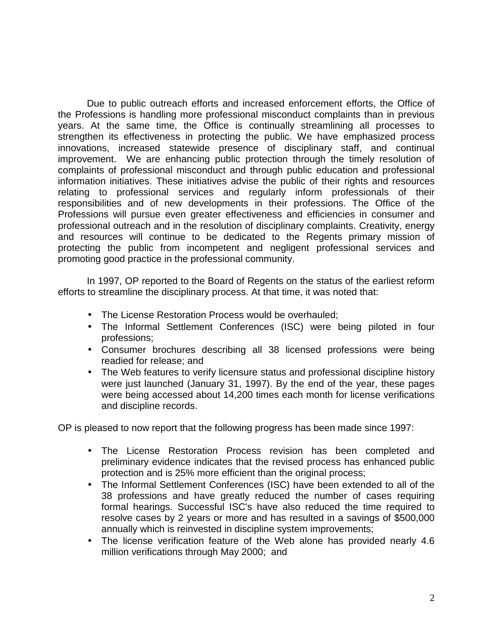the Professions is handling more professional misconduct complaints than in previous responsibilities and of new developments in their professions. The Office of the protecting the public from incompetent and negligent professional services and Due to public outreach efforts and increased enforcement efforts, the Office of years. At the same time, the Office is continually streamlining all processes to strengthen its effectiveness in protecting the public. We have emphasized process innovations, increased statewide presence of disciplinary staff, and continual improvement. We are enhancing public protection through the timely resolution of complaints of professional misconduct and through public education and professional information initiatives. These initiatives advise the public of their rights and resources relating to professional services and regularly inform professionals of their Professions will pursue even greater effectiveness and efficiencies in consumer and professional outreach and in the resolution of disciplinary complaints. Creativity, energy and resources will continue to be dedicated to the Regents primary mission of promoting good practice in the professional community.

 In 1997, OP reported to the Board of Regents on the status of the earliest reform efforts to streamline the disciplinary process. At that time, it was noted that:

- The License Restoration Process would be overhauled:
- The Informal Settlement Conferences (ISC) were being piloted in four professions;
- • Consumer brochures describing all 38 licensed professions were being readied for release; and
- The Web features to verify licensure status and professional discipline history were just launched (January 31, 1997). By the end of the year, these pages were being accessed about 14,200 times each month for license verifications and discipline records.

OP is pleased to now report that the following progress has been made since 1997:

- The License Restoration Process revision has been completed and preliminary evidence indicates that the revised process has enhanced public protection and is 25% more efficient than the original process;
- 38 professions and have greatly reduced the number of cases requiring resolve cases by 2 years or more and has resulted in a savings of \$500,000 • The Informal Settlement Conferences (ISC) have been extended to all of the formal hearings. Successful ISC's have also reduced the time required to annually which is reinvested in discipline system improvements;
- million verifications through May 2000; and • The license verification feature of the Web alone has provided nearly 4.6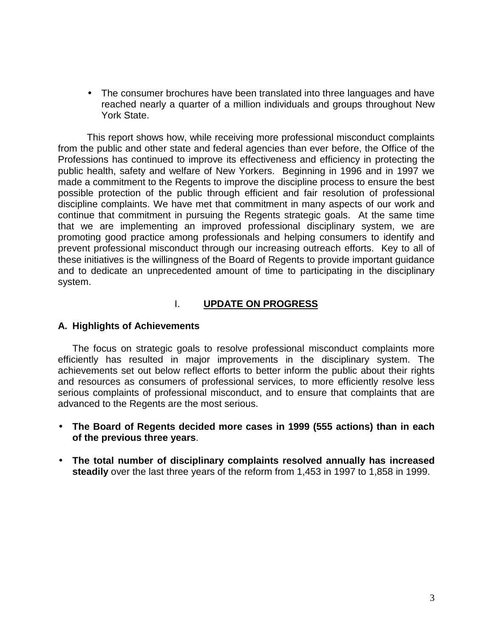• The consumer brochures have been translated into three languages and have reached nearly a quarter of a million individuals and groups throughout New York State.

 Professions has continued to improve its effectiveness and efficiency in protecting the possible protection of the public through efficient and fair resolution of professional discipline complaints. We have met that commitment in many aspects of our work and continue that commitment in pursuing the Regents strategic goals. At the same time that we are implementing an improved professional disciplinary system, we are promoting good practice among professionals and helping consumers to identify and prevent professional misconduct through our increasing outreach efforts. Key to all of these initiatives is the willingness of the Board of Regents to provide important guidance and to dedicate an unprecedented amount of time to participating in the disciplinary This report shows how, while receiving more professional misconduct complaints from the public and other state and federal agencies than ever before, the Office of the public health, safety and welfare of New Yorkers. Beginning in 1996 and in 1997 we made a commitment to the Regents to improve the discipline process to ensure the best system.

# I. **UPDATE ON PROGRESS**

## **A. Highlights of Achievements**

 and resources as consumers of professional services, to more efficiently resolve less The focus on strategic goals to resolve professional misconduct complaints more efficiently has resulted in major improvements in the disciplinary system. The achievements set out below reflect efforts to better inform the public about their rights serious complaints of professional misconduct, and to ensure that complaints that are advanced to the Regents are the most serious.

- • **The Board of Regents decided more cases in 1999 (555 actions) than in each of the previous three years**.
- • **The total number of disciplinary complaints resolved annually has increased steadily** over the last three years of the reform from 1,453 in 1997 to 1,858 in 1999.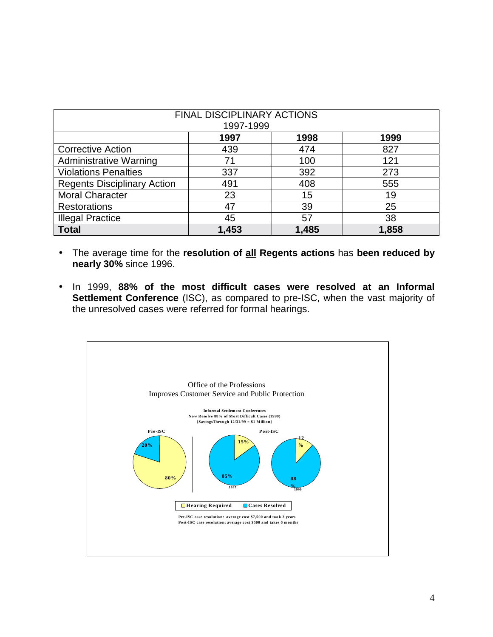| <b>FINAL DISCIPLINARY ACTIONS</b><br>1997-1999 |       |       |       |  |
|------------------------------------------------|-------|-------|-------|--|
|                                                | 1997  | 1998  | 1999  |  |
| <b>Corrective Action</b>                       | 439   | 474   | 827   |  |
| <b>Administrative Warning</b>                  | 71    | 100   | 121   |  |
| <b>Violations Penalties</b>                    | 337   | 392   | 273   |  |
| <b>Regents Disciplinary Action</b>             | 491   | 408   | 555   |  |
| <b>Moral Character</b>                         | 23    | 15    | 19    |  |
| <b>Restorations</b>                            | 47    | 39    | 25    |  |
| <b>Illegal Practice</b>                        | 45    | 57    | 38    |  |
| <b>Total</b>                                   | 1,453 | 1,485 | 1,858 |  |

- • The average time for the **resolution of all Regents actions** has **been reduced by nearly 30%** since 1996.
- the unresolved cases were referred for formal hearings. • In 1999, **88% of the most difficult cases were resolved at an Informal Settlement Conference** (ISC), as compared to pre-ISC, when the vast majority of

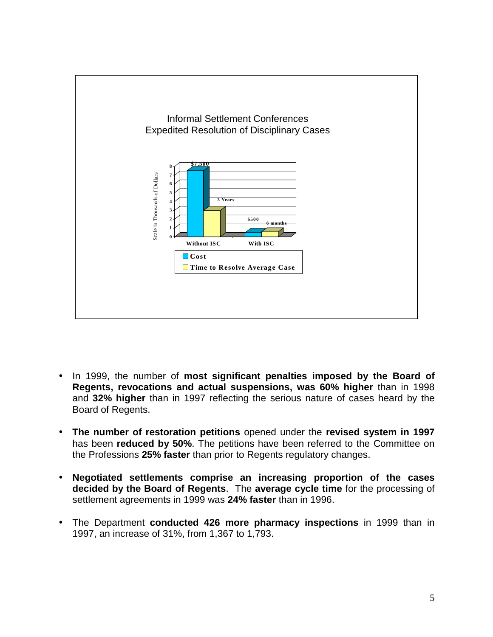

- In 1999, the number of **most significant penalties imposed by the Board of Regents, revocations and actual suspensions, was 60% higher** than in 1998 and **32% higher** than in 1997 reflecting the serious nature of cases heard by the Board of Regents.
- • **The number of restoration petitions** opened under the **revised system in 1997**  has been **reduced by 50%**. The petitions have been referred to the Committee on the Professions **25% faster** than prior to Regents regulatory changes.
- • **Negotiated settlements comprise an increasing proportion of the cases decided by the Board of Regents**. The **average cycle time** for the processing of settlement agreements in 1999 was **24% faster** than in 1996.
- 1997, an increase of 31%, from 1,367 to 1,793. • The Department **conducted 426 more pharmacy inspections** in 1999 than in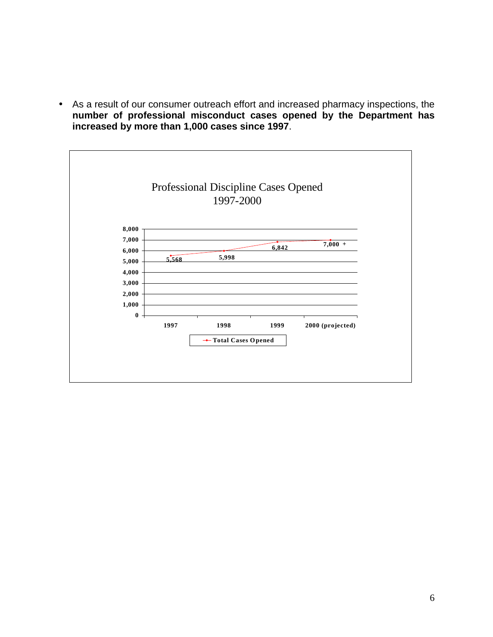• As a result of our consumer outreach effort and increased pharmacy inspections, the **number of professional misconduct cases opened by the Department has increased by more than 1,000 cases since 1997**.

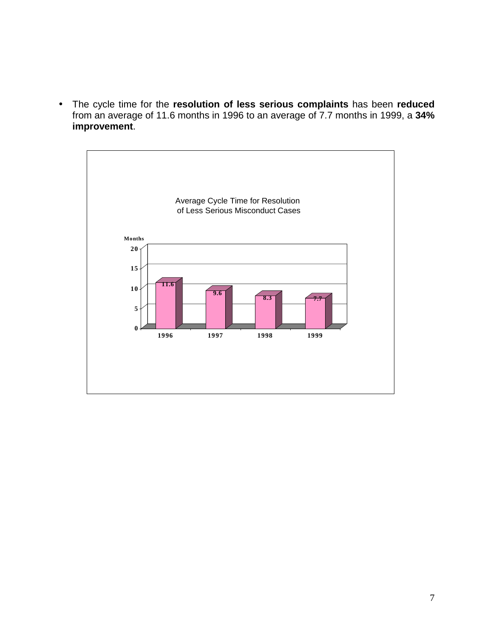from an average of 11.6 months in 1996 to an average of 7.7 months in 1999, a **34%**  • The cycle time for the **resolution of less serious complaints** has been **reduced improvement**.

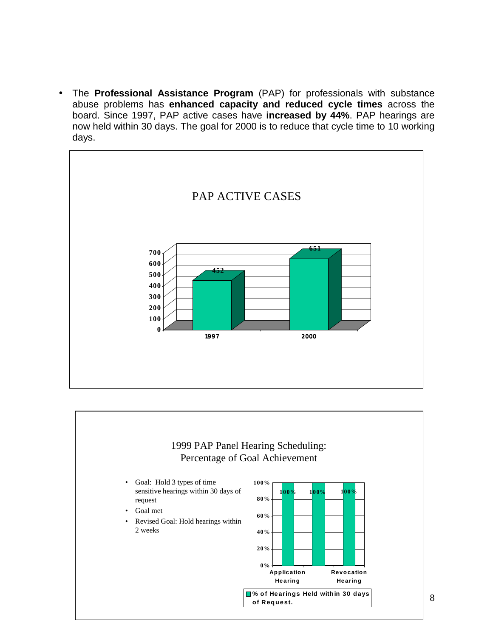board. Since 1997, PAP active cases have **increased by 44%**. PAP hearings are • The **Professional Assistance Program** (PAP) for professionals with substance abuse problems has **enhanced capacity and reduced cycle times** across the now held within 30 days. The goal for 2000 is to reduce that cycle time to 10 working days.



# 1999 PAP Panel Hearing Scheduling: Percentage of Goal Achievement

- Goal: Hold 3 types of time **100%** sensitive hearings within 30 days of request **80%**
- Goal met
- **60% Revised Goal:** Hold hearings within 2 weeks **40%**

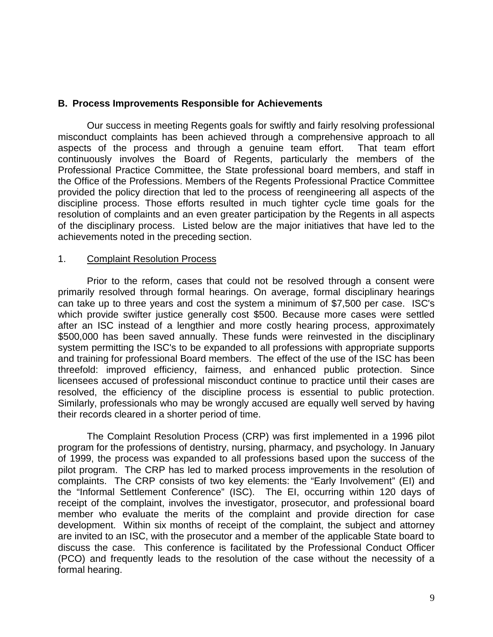### **B. Process Improvements Responsible for Achievements**

 Our success in meeting Regents goals for swiftly and fairly resolving professional Professional Practice Committee, the State professional board members, and staff in provided the policy direction that led to the process of reengineering all aspects of the of the disciplinary process. Listed below are the major initiatives that have led to the misconduct complaints has been achieved through a comprehensive approach to all aspects of the process and through a genuine team effort. That team effort continuously involves the Board of Regents, particularly the members of the the Office of the Professions. Members of the Regents Professional Practice Committee discipline process. Those efforts resulted in much tighter cycle time goals for the resolution of complaints and an even greater participation by the Regents in all aspects achievements noted in the preceding section.

#### 1. Complaint Resolution Process

 after an ISC instead of a lengthier and more costly hearing process, approximately licensees accused of professional misconduct continue to practice until their cases are Prior to the reform, cases that could not be resolved through a consent were primarily resolved through formal hearings. On average, formal disciplinary hearings can take up to three years and cost the system a minimum of \$7,500 per case. ISC's which provide swifter justice generally cost \$500. Because more cases were settled \$500,000 has been saved annually. These funds were reinvested in the disciplinary system permitting the ISC's to be expanded to all professions with appropriate supports and training for professional Board members. The effect of the use of the ISC has been threefold: improved efficiency, fairness, and enhanced public protection. Since resolved, the efficiency of the discipline process is essential to public protection. Similarly, professionals who may be wrongly accused are equally well served by having their records cleared in a shorter period of time.

 of 1999, the process was expanded to all professions based upon the success of the pilot program. The CRP has led to marked process improvements in the resolution of development. Within six months of receipt of the complaint, the subject and attorney are invited to an ISC, with the prosecutor and a member of the applicable State board to The Complaint Resolution Process (CRP) was first implemented in a 1996 pilot program for the professions of dentistry, nursing, pharmacy, and psychology. In January complaints. The CRP consists of two key elements: the "Early Involvement" (EI) and the "Informal Settlement Conference" (ISC). The EI, occurring within 120 days of receipt of the complaint, involves the investigator, prosecutor, and professional board member who evaluate the merits of the complaint and provide direction for case discuss the case. This conference is facilitated by the Professional Conduct Officer (PCO) and frequently leads to the resolution of the case without the necessity of a formal hearing.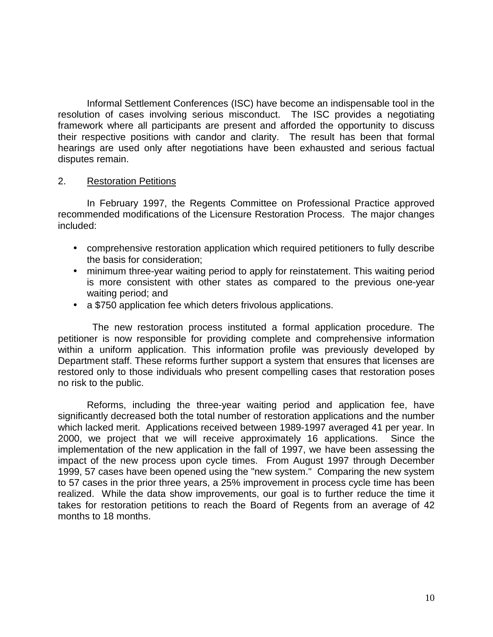resolution of cases involving serious misconduct. The ISC provides a negotiating their respective positions with candor and clarity. The result has been that formal hearings are used only after negotiations have been exhausted and serious factual Informal Settlement Conferences (ISC) have become an indispensable tool in the framework where all participants are present and afforded the opportunity to discuss disputes remain.

#### 2. Restoration Petitions

In February 1997, the Regents Committee on Professional Practice approved recommended modifications of the Licensure Restoration Process. The major changes included:

- comprehensive restoration application which required petitioners to fully describe the basis for consideration;
- minimum three-year waiting period to apply for reinstatement. This waiting period is more consistent with other states as compared to the previous one-year waiting period; and
- a \$750 application fee which deters frivolous applications.

 petitioner is now responsible for providing complete and comprehensive information Department staff. These reforms further support a system that ensures that licenses are The new restoration process instituted a formal application procedure. The within a uniform application. This information profile was previously developed by restored only to those individuals who present compelling cases that restoration poses no risk to the public.

 implementation of the new application in the fall of 1997, we have been assessing the impact of the new process upon cycle times. From August 1997 through December realized. While the data show improvements, our goal is to further reduce the time it Reforms, including the three-year waiting period and application fee, have significantly decreased both the total number of restoration applications and the number which lacked merit. Applications received between 1989-1997 averaged 41 per year. In 2000, we project that we will receive approximately 16 applications. Since the 1999, 57 cases have been opened using the "new system." Comparing the new system to 57 cases in the prior three years, a 25% improvement in process cycle time has been takes for restoration petitions to reach the Board of Regents from an average of 42 months to 18 months.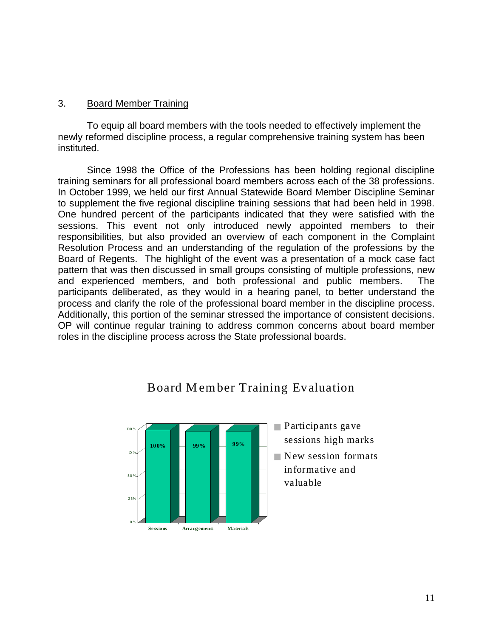#### 3. Board Member Training

To equip all board members with the tools needed to effectively implement the newly reformed discipline process, a regular comprehensive training system has been instituted.

 training seminars for all professional board members across each of the 38 professions. In October 1999, we held our first Annual Statewide Board Member Discipline Seminar to supplement the five regional discipline training sessions that had been held in 1998. sessions. This event not only introduced newly appointed members to their OP will continue regular training to address common concerns about board member Since 1998 the Office of the Professions has been holding regional discipline One hundred percent of the participants indicated that they were satisfied with the responsibilities, but also provided an overview of each component in the Complaint Resolution Process and an understanding of the regulation of the professions by the Board of Regents. The highlight of the event was a presentation of a mock case fact pattern that was then discussed in small groups consisting of multiple professions, new and experienced members, and both professional and public members. The participants deliberated, as they would in a hearing panel, to better understand the process and clarify the role of the professional board member in the discipline process. Additionally, this portion of the seminar stressed the importance of consistent decisions. roles in the discipline process across the State professional boards.

# Board M ember Training Evaluation

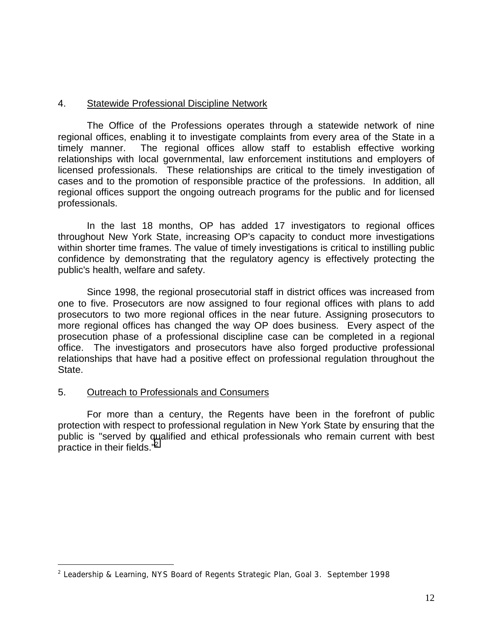## 4. Statewide Professional Discipline Network

 regional offices, enabling it to investigate complaints from every area of the State in a timely manner. regional offices support the ongoing outreach programs for the public and for licensed The Office of the Professions operates through a statewide network of nine The regional offices allow staff to establish effective working relationships with local governmental, law enforcement institutions and employers of licensed professionals. These relationships are critical to the timely investigation of cases and to the promotion of responsible practice of the professions. In addition, all professionals.

In the last 18 months, OP has added 17 investigators to regional offices throughout New York State, increasing OP's capacity to conduct more investigations within shorter time frames. The value of timely investigations is critical to instilling public confidence by demonstrating that the regulatory agency is effectively protecting the public's health, welfare and safety.

 prosecutors to two more regional offices in the near future. Assigning prosecutors to more regional offices has changed the way OP does business. Every aspect of the Since 1998, the regional prosecutorial staff in district offices was increased from one to five. Prosecutors are now assigned to four regional offices with plans to add prosecution phase of a professional discipline case can be completed in a regional office. The investigators and prosecutors have also forged productive professional relationships that have had a positive effect on professional regulation throughout the State.

#### 5. Outreach to Professionals and Consumers

 $\overline{a}$ 

 protection with respect to professional regulation in New York State by ensuring that the For more than a century, the Regents have been in the forefront of public public is "served by qualified and ethical professionals who remain current with best practice in their fields."<sup>2</sup>

<sup>&</sup>lt;sup>2</sup> Leadership & Learning, NYS Board of Regents Strategic Plan, Goal 3. September 1998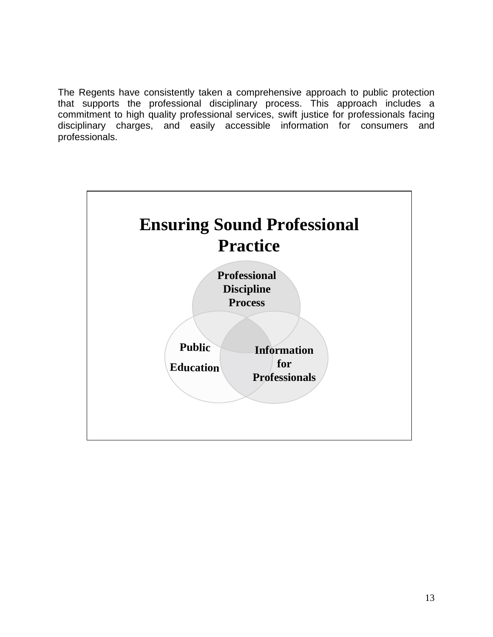The Regents have consistently taken a comprehensive approach to public protection that supports the professional disciplinary process. This approach includes a commitment to high quality professional services, swift justice for professionals facing disciplinary charges, and easily accessible information for consumers and professionals.

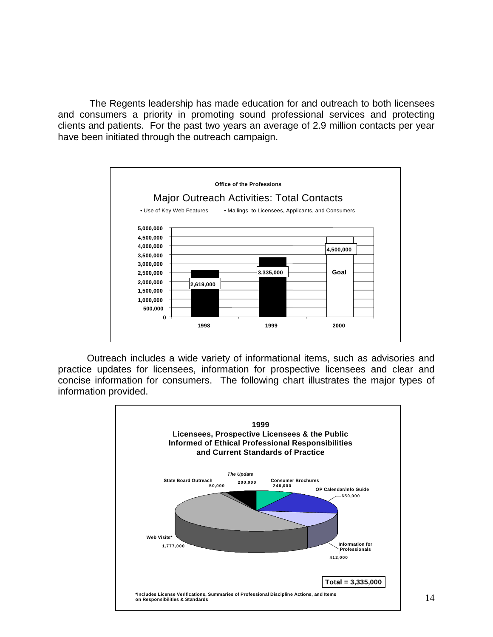clients and patients. For the past two years an average of 2.9 million contacts per year The Regents leadership has made education for and outreach to both licensees and consumers a priority in promoting sound professional services and protecting have been initiated through the outreach campaign.



 Outreach includes a wide variety of informational items, such as advisories and practice updates for licensees, information for prospective licensees and clear and concise information for consumers. The following chart illustrates the major types of information provided.

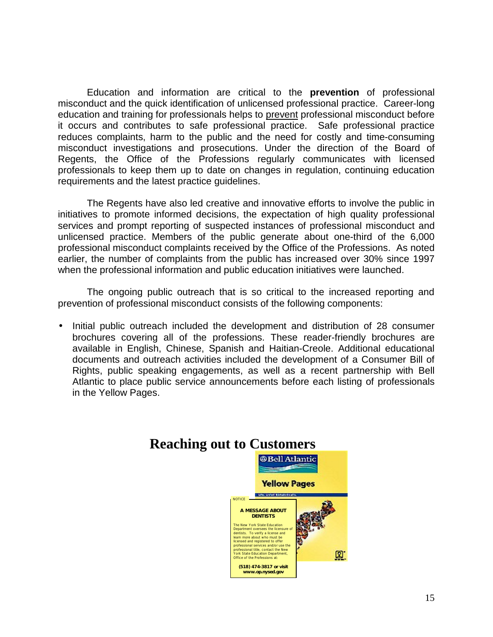misconduct and the quick identification of unlicensed professional practice. Career-long reduces complaints, harm to the public and the need for costly and time-consuming misconduct investigations and prosecutions. Under the direction of the Board of Education and information are critical to the **prevention** of professional education and training for professionals helps to prevent professional misconduct before it occurs and contributes to safe professional practice. Safe professional practice Regents, the Office of the Professions regularly communicates with licensed professionals to keep them up to date on changes in regulation, continuing education requirements and the latest practice guidelines.

 initiatives to promote informed decisions, the expectation of high quality professional unlicensed practice. Members of the public generate about one-third of the 6,000 professional misconduct complaints received by the Office of the Professions. As noted earlier, the number of complaints from the public has increased over 30% since 1997 The Regents have also led creative and innovative efforts to involve the public in services and prompt reporting of suspected instances of professional misconduct and when the professional information and public education initiatives were launched.

The ongoing public outreach that is so critical to the increased reporting and prevention of professional misconduct consists of the following components:

 • Initial public outreach included the development and distribution of 28 consumer brochures covering all of the professions. These reader-friendly brochures are documents and outreach activities included the development of a Consumer Bill of Atlantic to place public service announcements before each listing of professionals available in English, Chinese, Spanish and Haitian-Creole. Additional educational Rights, public speaking engagements, as well as a recent partnership with Bell in the Yellow Pages.

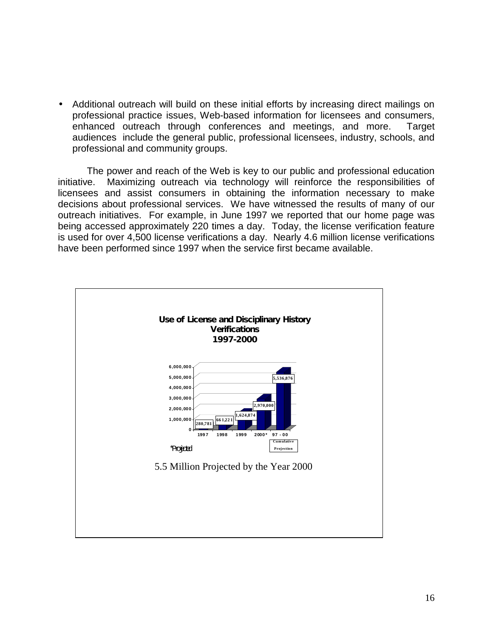Additional outreach will build on these initial efforts by increasing direct mailings on professional practice issues, Web-based information for licensees and consumers, enhanced outreach through conferences and meetings, and more. Target audiences include the general public, professional licensees, industry, schools, and professional and community groups.

 The power and reach of the Web is key to our public and professional education initiative. Maximizing outreach via technology will reinforce the responsibilities of decisions about professional services. We have witnessed the results of many of our outreach initiatives. For example, in June 1997 we reported that our home page was licensees and assist consumers in obtaining the information necessary to make being accessed approximately 220 times a day. Today, the license verification feature is used for over 4,500 license verifications a day. Nearly 4.6 million license verifications have been performed since 1997 when the service first became available.

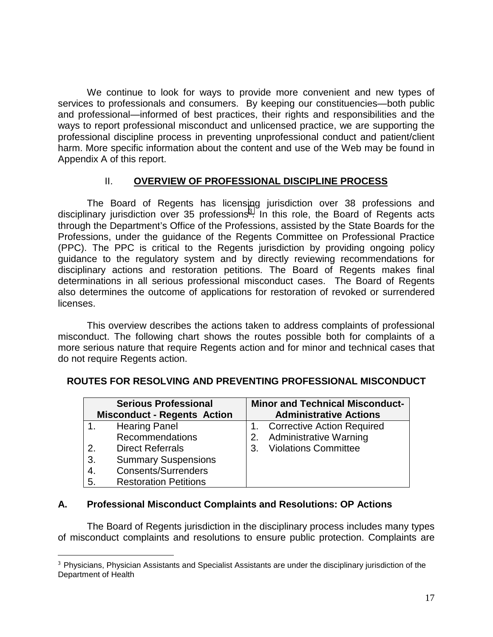We continue to look for ways to provide more convenient and new types of harm. More specific information about the content and use of the Web may be found in services to professionals and consumers. By keeping our constituencies—both public and professional—informed of best practices, their rights and responsibilities and the ways to report professional misconduct and unlicensed practice, we are supporting the professional discipline process in preventing unprofessional conduct and patient/client Appendix A of this report.

# II. **OVERVIEW OF PROFESSIONAL DISCIPLINE PROCESS**

 (PPC). The PPC is critical to the Regents jurisdiction by providing ongoing policy also determines the outcome of applications for restoration of revoked or surrendered The Board of Regents has licensing jurisdiction over 38 professions and disciplinary jurisdiction over 35 professions<sup>3</sup>. In this role, the Board of Regents acts through the Department's Office of the Professions, assisted by the State Boards for the Professions, under the guidance of the Regents Committee on Professional Practice guidance to the regulatory system and by directly reviewing recommendations for disciplinary actions and restoration petitions. The Board of Regents makes final determinations in all serious professional misconduct cases. The Board of Regents licenses.

 misconduct. The following chart shows the routes possible both for complaints of a more serious nature that require Regents action and for minor and technical cases that This overview describes the actions taken to address complaints of professional do not require Regents action.

| <b>Serious Professional</b><br><b>Misconduct - Regents Action</b> |                              | <b>Minor and Technical Misconduct-</b><br><b>Administrative Actions</b> |  |  |
|-------------------------------------------------------------------|------------------------------|-------------------------------------------------------------------------|--|--|
|                                                                   | <b>Hearing Panel</b>         | 1. Corrective Action Required                                           |  |  |
|                                                                   | <b>Recommendations</b>       | 2. Administrative Warning                                               |  |  |
| 2.                                                                | <b>Direct Referrals</b>      | 3. Violations Committee                                                 |  |  |
| 3.                                                                | <b>Summary Suspensions</b>   |                                                                         |  |  |
| 4.                                                                | <b>Consents/Surrenders</b>   |                                                                         |  |  |
| 5.                                                                | <b>Restoration Petitions</b> |                                                                         |  |  |

# **ROUTES FOR RESOLVING AND PREVENTING PROFESSIONAL MISCONDUCT**

## **A. Professional Misconduct Complaints and Resolutions: OP Actions**

 $\overline{a}$ 

The Board of Regents jurisdiction in the disciplinary process includes many types of misconduct complaints and resolutions to ensure public protection. Complaints are

<sup>&</sup>lt;sup>3</sup> Physicians, Physician Assistants and Specialist Assistants are under the disciplinary jurisdiction of the Department of Health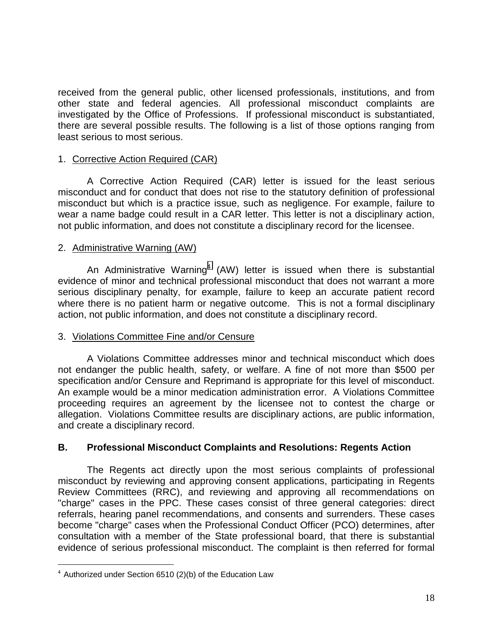there are several possible results. The following is a list of those options ranging from received from the general public, other licensed professionals, institutions, and from other state and federal agencies. All professional misconduct complaints are investigated by the Office of Professions. If professional misconduct is substantiated, least serious to most serious.

## 1. Corrective Action Required (CAR)

 A Corrective Action Required (CAR) letter is issued for the least serious wear a name badge could result in a CAR letter. This letter is not a disciplinary action, misconduct and for conduct that does not rise to the statutory definition of professional misconduct but which is a practice issue, such as negligence. For example, failure to not public information, and does not constitute a disciplinary record for the licensee.

#### 2. Administrative Warning (AW)

An Administrative Warning<sup>4</sup> (AW) letter is issued when there is substantial where there is no patient harm or negative outcome. This is not a formal disciplinary evidence of minor and technical professional misconduct that does not warrant a more serious disciplinary penalty, for example, failure to keep an accurate patient record action, not public information, and does not constitute a disciplinary record.

#### 3. Violations Committee Fine and/or Censure

 not endanger the public health, safety, or welfare. A fine of not more than \$500 per specification and/or Censure and Reprimand is appropriate for this level of misconduct. An example would be a minor medication administration error. A Violations Committee A Violations Committee addresses minor and technical misconduct which does proceeding requires an agreement by the licensee not to contest the charge or allegation. Violations Committee results are disciplinary actions, are public information, and create a disciplinary record.

## **B. Professional Misconduct Complaints and Resolutions: Regents Action**

 misconduct by reviewing and approving consent applications, participating in Regents "charge" cases in the PPC. These cases consist of three general categories: direct consultation with a member of the State professional board, that there is substantial evidence of serious professional misconduct. The complaint is then referred for formal The Regents act directly upon the most serious complaints of professional Review Committees (RRC), and reviewing and approving all recommendations on referrals, hearing panel recommendations, and consents and surrenders. These cases become "charge" cases when the Professional Conduct Officer (PCO) determines, after

 $\overline{a}$ 

 $4$  Authorized under Section 6510 (2)(b) of the Education Law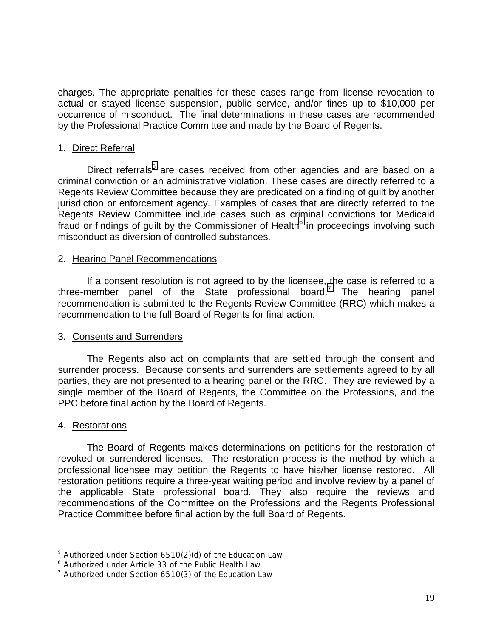charges. The appropriate penalties for these cases range from license revocation to actual or stayed license suspension, public service, and/or fines up to \$10,000 per occurrence of misconduct. The final determinations in these cases are recommended by the Professional Practice Committee and made by the Board of Regents.

#### 1. Direct Referral

 criminal conviction or an administrative violation. These cases are directly referred to a Regents Review Committee because they are predicated on a finding of guilt by another jurisdiction or enforcement agency. Examples of cases that are directly referred to the Regents Review Committee include cases such as criminal convictions for Medicaid Direct referrals<sup>5</sup> are cases received from other agencies and are based on a fraud or findings of guilt by the Commissioner of Health $<sup>6</sup>$  in proceedings involving such</sup> misconduct as diversion of controlled substances.

#### 2. Hearing Panel Recommendations

 If a consent resolution is not agreed to by the licensee, the case is referred to a three-member panel of the State professional board.<sup>7</sup> The hearing panel recommendation to the full Board of Regents for final action. recommendation is submitted to the Regents Review Committee (RRC) which makes a

#### 3. Consents and Surrenders

 parties, they are not presented to a hearing panel or the RRC. They are reviewed by a The Regents also act on complaints that are settled through the consent and surrender process. Because consents and surrenders are settlements agreed to by all single member of the Board of Regents, the Committee on the Professions, and the PPC before final action by the Board of Regents.

#### 4. Restorations

1

The Board of Regents makes determinations on petitions for the restoration of revoked or surrendered licenses. The restoration process is the method by which a professional licensee may petition the Regents to have his/her license restored. All restoration petitions require a three-year waiting period and involve review by a panel of the applicable State professional board. They also require the reviews and recommendations of the Committee on the Professions and the Regents Professional Practice Committee before final action by the full Board of Regents.

<sup>&</sup>lt;sup>5</sup> Authorized under Section 6510(2)(d) of the Education Law

<sup>6</sup> Authorized under Article 33 of the Public Health Law

 $7$  Authorized under Section 6510(3) of the Education Law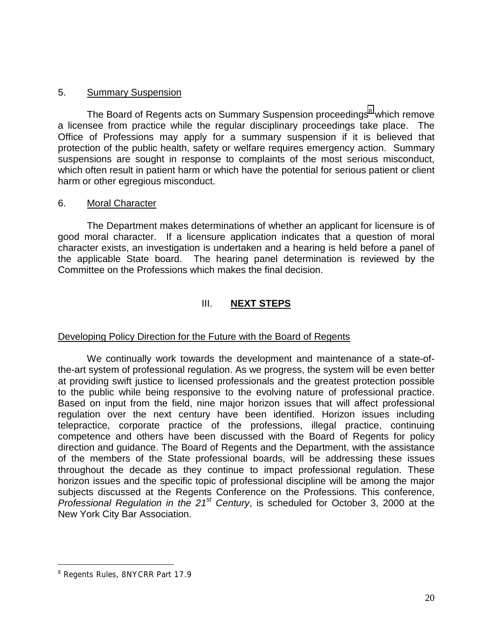# 5. Summary Suspension

 a licensee from practice while the regular disciplinary proceedings take place. The suspensions are sought in response to complaints of the most serious misconduct, The Board of Regents acts on Summary Suspension proceedings<sup>8</sup> which remove Office of Professions may apply for a summary suspension if it is believed that protection of the public health, safety or welfare requires emergency action. Summary which often result in patient harm or which have the potential for serious patient or client harm or other egregious misconduct.

## 6. Moral Character

 The Department makes determinations of whether an applicant for licensure is of good moral character. If a licensure application indicates that a question of moral character exists, an investigation is undertaken and a hearing is held before a panel of the applicable State board. The hearing panel determination is reviewed by the Committee on the Professions which makes the final decision.

# III. **NEXT STEPS**

## Developing Policy Direction for the Future with the Board of Regents

 Based on input from the field, nine major horizon issues that will affect professional competence and others have been discussed with the Board of Regents for policy horizon issues and the specific topic of professional discipline will be among the major We continually work towards the development and maintenance of a state-ofthe-art system of professional regulation. As we progress, the system will be even better at providing swift justice to licensed professionals and the greatest protection possible to the public while being responsive to the evolving nature of professional practice. regulation over the next century have been identified. Horizon issues including telepractice, corporate practice of the professions, illegal practice, continuing direction and guidance. The Board of Regents and the Department, with the assistance of the members of the State professional boards, will be addressing these issues throughout the decade as they continue to impact professional regulation. These subjects discussed at the Regents Conference on the Professions. This conference, *Professional Regulation in the 21st Century*, is scheduled for October 3, 2000 at the New York City Bar Association.

 $\overline{a}$ 

<sup>&</sup>lt;sup>8</sup> Regents Rules, 8NYCRR Part 17.9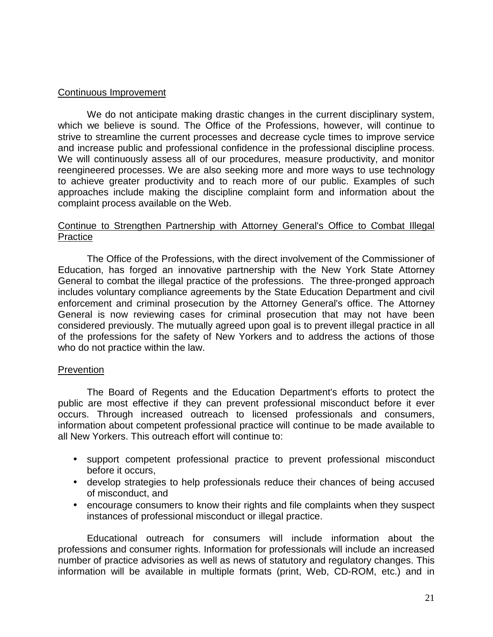### Continuous Improvement

 We do not anticipate making drastic changes in the current disciplinary system, which we believe is sound. The Office of the Professions, however, will continue to strive to streamline the current processes and decrease cycle times to improve service and increase public and professional confidence in the professional discipline process. We will continuously assess all of our procedures, measure productivity, and monitor reengineered processes. We are also seeking more and more ways to use technology to achieve greater productivity and to reach more of our public. Examples of such approaches include making the discipline complaint form and information about the complaint process available on the Web.

#### Continue to Strengthen Partnership with Attorney General's Office to Combat Illegal **Practice**

 The Office of the Professions, with the direct involvement of the Commissioner of General is now reviewing cases for criminal prosecution that may not have been Education, has forged an innovative partnership with the New York State Attorney General to combat the illegal practice of the professions. The three-pronged approach includes voluntary compliance agreements by the State Education Department and civil enforcement and criminal prosecution by the Attorney General's office. The Attorney considered previously. The mutually agreed upon goal is to prevent illegal practice in all of the professions for the safety of New Yorkers and to address the actions of those who do not practice within the law.

#### Prevention

The Board of Regents and the Education Department's efforts to protect the public are most effective if they can prevent professional misconduct before it ever occurs. Through increased outreach to licensed professionals and consumers, information about competent professional practice will continue to be made available to all New Yorkers. This outreach effort will continue to:

- support competent professional practice to prevent professional misconduct before it occurs,
- • develop strategies to help professionals reduce their chances of being accused of misconduct, and
- encourage consumers to know their rights and file complaints when they suspect instances of professional misconduct or illegal practice.

Educational outreach for consumers will include information about the professions and consumer rights. Information for professionals will include an increased number of practice advisories as well as news of statutory and regulatory changes. This information will be available in multiple formats (print, Web, CD-ROM, etc.) and in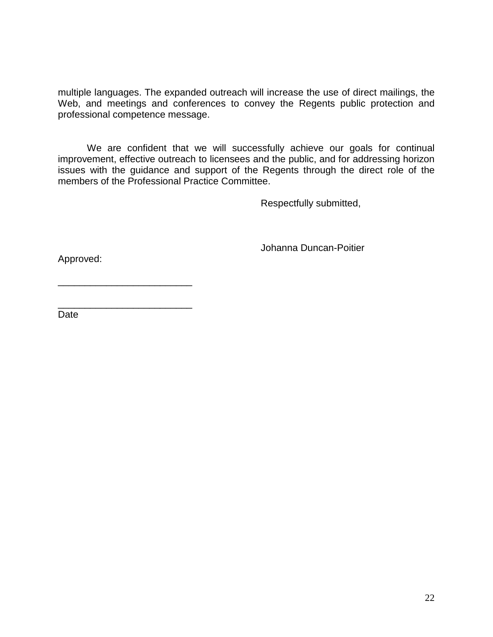multiple languages. The expanded outreach will increase the use of direct mailings, the Web, and meetings and conferences to convey the Regents public protection and professional competence message.

We are confident that we will successfully achieve our goals for continual improvement, effective outreach to licensees and the public, and for addressing horizon issues with the guidance and support of the Regents through the direct role of the members of the Professional Practice Committee.

Respectfully submitted,

Johanna Duncan-Poitier

Approved:

\_\_\_\_\_\_\_\_\_\_\_\_\_\_\_\_\_\_\_\_\_\_\_\_\_

\_\_\_\_\_\_\_\_\_\_\_\_\_\_\_\_\_\_\_\_\_\_\_\_\_

Date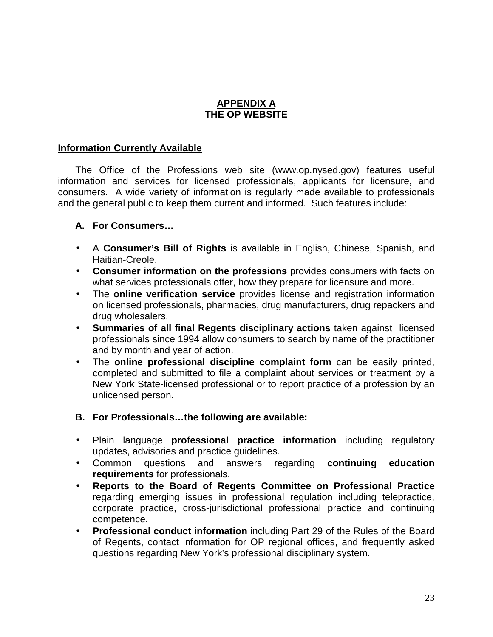# **APPENDIX A THE OP WEBSITE**

# **Information Currently Available**

 information and services for licensed professionals, applicants for licensure, and The Office of the Professions web site (www.op.nysed.gov) features useful consumers. A wide variety of information is regularly made available to professionals and the general public to keep them current and informed. Such features include:

# **A. For Consumers…**

- • A **Consumer's Bill of Rights** is available in English, Chinese, Spanish, and Haitian-Creole.
- • **Consumer information on the professions** provides consumers with facts on what services professionals offer, how they prepare for licensure and more.
- • The **online verification service** provides license and registration information on licensed professionals, pharmacies, drug manufacturers, drug repackers and drug wholesalers.
- professionals since 1994 allow consumers to search by name of the practitioner • **Summaries of all final Regents disciplinary actions** taken against licensed and by month and year of action.
- New York State-licensed professional or to report practice of a profession by an • The **online professional discipline complaint form** can be easily printed, completed and submitted to file a complaint about services or treatment by a unlicensed person.
- **B. For Professionals…the following are available:**
- • Plain language **professional practice information** including regulatory updates, advisories and practice guidelines.
- • Common questions and answers regarding **continuing education requirements** for professionals.
- • **Reports to the Board of Regents Committee on Professional Practice**  regarding emerging issues in professional regulation including telepractice, corporate practice, cross-jurisdictional professional practice and continuing competence.
- • **Professional conduct information** including Part 29 of the Rules of the Board of Regents, contact information for OP regional offices, and frequently asked questions regarding New York's professional disciplinary system.